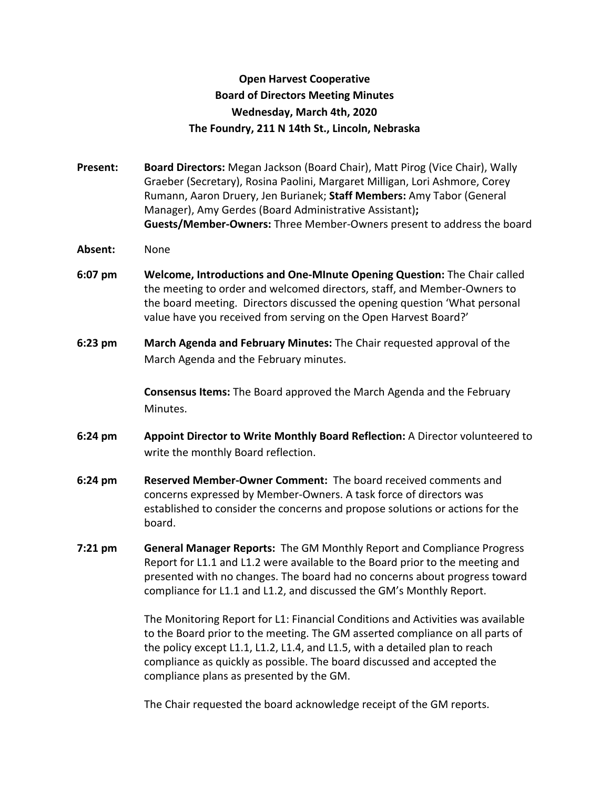## **Open Harvest Cooperative Board of Directors Meeting Minutes Wednesday, March 4th, 2020 The Foundry, 211 N 14th St., Lincoln, Nebraska**

**Present: Board Directors:** Megan Jackson (Board Chair), Matt Pirog (Vice Chair), Wally Graeber (Secretary), Rosina Paolini, Margaret Milligan, Lori Ashmore, Corey Rumann, Aaron Druery, Jen Burianek; **Staff Members:** Amy Tabor (General Manager), Amy Gerdes (Board Administrative Assistant)**; Guests/Member-Owners:** Three Member-Owners present to address the board

## **Absent:** None

- **6:07 pm Welcome, Introductions and One-MInute Opening Question:** The Chair called the meeting to order and welcomed directors, staff, and Member-Owners to the board meeting. Directors discussed the opening question 'What personal value have you received from serving on the Open Harvest Board?'
- **6:23 pm March Agenda and February Minutes:** The Chair requested approval of the March Agenda and the February minutes.

**Consensus Items:** The Board approved the March Agenda and the February Minutes.

- **6:24 pm Appoint Director to Write Monthly Board Reflection:** A Director volunteered to write the monthly Board reflection.
- **6:24 pm Reserved Member-Owner Comment:** The board received comments and concerns expressed by Member-Owners. A task force of directors was established to consider the concerns and propose solutions or actions for the board.
- **7:21 pm General Manager Reports:** The GM Monthly Report and Compliance Progress Report for L1.1 and L1.2 were available to the Board prior to the meeting and presented with no changes. The board had no concerns about progress toward compliance for L1.1 and L1.2, and discussed the GM's Monthly Report.

The Monitoring Report for L1: Financial Conditions and Activities was available to the Board prior to the meeting. The GM asserted compliance on all parts of the policy except L1.1, L1.2, L1.4, and L1.5, with a detailed plan to reach compliance as quickly as possible. The board discussed and accepted the compliance plans as presented by the GM.

The Chair requested the board acknowledge receipt of the GM reports.